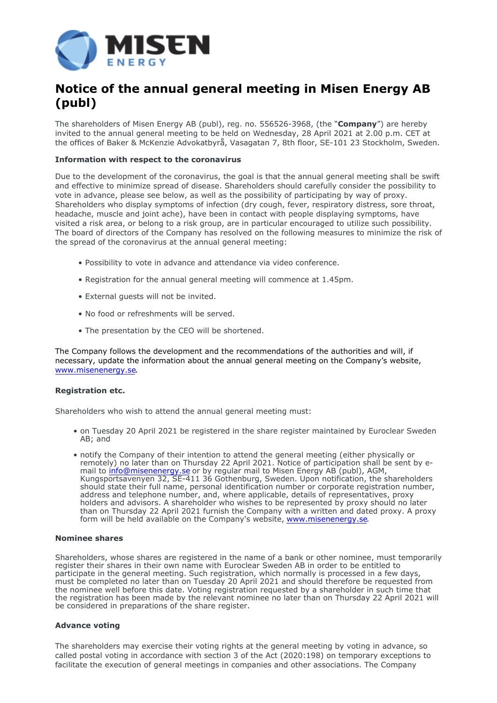

# **Notice of the annual general meeting in Misen Energy AB (publ)**

The shareholders of Misen Energy AB (publ), reg. no. 556526-3968, (the "**Company**") are hereby invited to the annual general meeting to be held on Wednesday, 28 April 2021 at 2.00 p.m. CET at the offices of Baker & McKenzie Advokatbyrå, Vasagatan 7, 8th floor, SE-101 23 Stockholm, Sweden.

#### **Information with respect to the coronavirus**

Due to the development of the coronavirus, the goal is that the annual general meeting shall be swift and effective to minimize spread of disease. Shareholders should carefully consider the possibility to vote in advance, please see below, as well as the possibility of participating by way of proxy. Shareholders who display symptoms of infection (dry cough, fever, respiratory distress, sore throat, headache, muscle and joint ache), have been in contact with people displaying symptoms, have visited a risk area, or belong to a risk group, are in particular encouraged to utilize such possibility. The board of directors of the Company has resolved on the following measures to minimize the risk of the spread of the coronavirus at the annual general meeting:

- Possibility to vote in advance and attendance via video conference.
- Registration for the annual general meeting will commence at 1.45pm.
- External guests will not be invited.
- No food or refreshments will be served.
- The presentation by the CEO will be shortened.

The Company follows the development and the recommendations of the authorities and will, if necessary, update the information about the annual general meeting on the Company's website, [www.misenenergy.se.](http://www.misenenergy.se/)

#### **Registration etc.**

Shareholders who wish to attend the annual general meeting must:

- on Tuesday 20 April 2021 be registered in the share register maintained by Euroclear Sweden AB; and
- notify the Company of their intention to attend the general meeting (either physically or remotely) no later than on Thursday 22 April 2021. Notice of participation shall be sent by email to [info@misenenergy.se](mailto:info@misenenergy.se) or by regular mail to Misen Energy AB (publ), AGM, Kungsportsavenyen 32, SE-411 36 Gothenburg, Sweden. Upon notification, the shareholders should state their full name, personal identification number or corporate registration number, address and telephone number, and, where applicable, details of representatives, proxy holders and advisors. A shareholder who wishes to be represented by proxy should no later than on Thursday 22 April 2021 furnish the Company with a written and dated proxy. A proxy form will be held available on the Company's website, [www.misenenergy.se.](http://www.misenenergy.se/)

#### **Nominee shares**

Shareholders, whose shares are registered in the name of a bank or other nominee, must temporarily register their shares in their own name with Euroclear Sweden AB in order to be entitled to participate in the general meeting. Such registration, which normally is processed in a few days, must be completed no later than on Tuesday 20 April 2021 and should therefore be requested from the nominee well before this date. Voting registration requested by a shareholder in such time that the registration has been made by the relevant nominee no later than on Thursday 22 April 2021 will be considered in preparations of the share register.

#### **Advance voting**

The shareholders may exercise their voting rights at the general meeting by voting in advance, so called postal voting in accordance with section 3 of the Act (2020:198) on temporary exceptions to facilitate the execution of general meetings in companies and other associations. The Company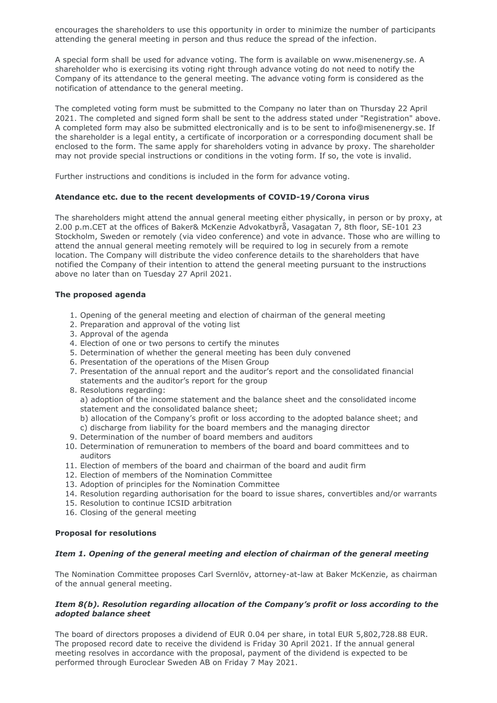encourages the shareholders to use this opportunity in order to minimize the number of participants attending the general meeting in person and thus reduce the spread of the infection.

A special form shall be used for advance voting. The form is available on www.misenenergy.se. A shareholder who is exercising its voting right through advance voting do not need to notify the Company of its attendance to the general meeting. The advance voting form is considered as the notification of attendance to the general meeting.

The completed voting form must be submitted to the Company no later than on Thursday 22 April 2021. The completed and signed form shall be sent to the address stated under "Registration" above. A completed form may also be submitted electronically and is to be sent to info@misenenergy.se. If the shareholder is a legal entity, a certificate of incorporation or a corresponding document shall be enclosed to the form. The same apply for shareholders voting in advance by proxy. The shareholder may not provide special instructions or conditions in the voting form. If so, the vote is invalid.

Further instructions and conditions is included in the form for advance voting.

## **Atendance etc. due to the recent developments of COVID-19/Corona virus**

The shareholders might attend the annual general meeting either physically, in person or by proxy, at 2.00 p.m.CET at the offices of Baker& McKenzie Advokatbyrå, Vasagatan 7, 8th floor, SE-101 23 Stockholm, Sweden or remotely (via video conference) and vote in advance. Those who are willing to attend the annual general meeting remotely will be required to log in securely from a remote location. The Company will distribute the video conference details to the shareholders that have notified the Company of their intention to attend the general meeting pursuant to the instructions above no later than on Tuesday 27 April 2021.

# **The proposed agenda**

- 1. Opening of the general meeting and election of chairman of the general meeting
- 2. Preparation and approval of the voting list
- 3. Approval of the agenda
- 4. Election of one or two persons to certify the minutes
- 5. Determination of whether the general meeting has been duly convened
- 6. Presentation of the operations of the Misen Group
- 7. Presentation of the annual report and the auditor's report and the consolidated financial statements and the auditor's report for the group
- 8. Resolutions regarding:

a) adoption of the income statement and the balance sheet and the consolidated income statement and the consolidated balance sheet;

b) allocation of the Company's profit or loss according to the adopted balance sheet; and

- c) discharge from liability for the board members and the managing director
- 9. Determination of the number of board members and auditors
- 10. Determination of remuneration to members of the board and board committees and to auditors
- 11. Election of members of the board and chairman of the board and audit firm
- 12. Election of members of the Nomination Committee
- 13. Adoption of principles for the Nomination Committee
- 14. Resolution regarding authorisation for the board to issue shares, convertibles and/or warrants
- 15. Resolution to continue ICSID arbitration
- 16. Closing of the general meeting

## **Proposal for resolutions**

# *Item 1. Opening of the general meeting and election of chairman of the general meeting*

The Nomination Committee proposes Carl Svernlöv, attorney-at-law at Baker McKenzie, as chairman of the annual general meeting.

# *Item 8(b). Resolution regarding allocation of the Company's profit or loss according to the adopted balance sheet*

The board of directors proposes a dividend of EUR 0.04 per share, in total EUR 5,802,728.88 EUR. The proposed record date to receive the dividend is Friday 30 April 2021. If the annual general meeting resolves in accordance with the proposal, payment of the dividend is expected to be performed through Euroclear Sweden AB on Friday 7 May 2021.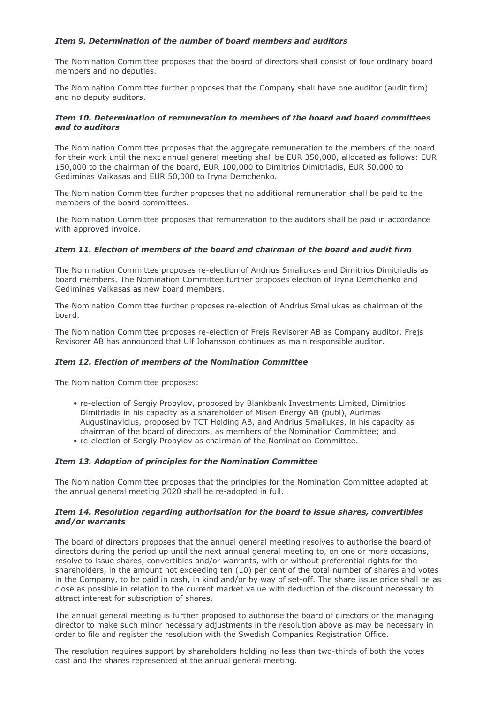# *Item 9. Determination of the number of board members and auditors*

The Nomination Committee proposes that the board of directors shall consist of four ordinary board members and no deputies.

The Nomination Committee further proposes that the Company shall have one auditor (audit firm) and no deputy auditors.

## *Item 10. Determination of remuneration to members of the board and board committees and to auditors*

The Nomination Committee proposes that the aggregate remuneration to the members of the board for their work until the next annual general meeting shall be EUR 350,000, allocated as follows: EUR 150,000 to the chairman of the board, EUR 100,000 to Dimitrios Dimitriadis, EUR 50,000 to Gediminas Vaikasas and EUR 50,000 to Iryna Demchenko.

The Nomination Committee further proposes that no additional remuneration shall be paid to the members of the board committees.

The Nomination Committee proposes that remuneration to the auditors shall be paid in accordance with approved invoice.

# *Item 11. Election of members of the board and chairman of the board and audit firm*

The Nomination Committee proposes re-election of Andrius Smaliukas and Dimitrios Dimitriadis as board members. The Nomination Committee further proposes election of Iryna Demchenko and Gediminas Vaikasas as new board members.

The Nomination Committee further proposes re-election of Andrius Smaliukas as chairman of the board.

The Nomination Committee proposes re-election of Frejs Revisorer AB as Company auditor. Frejs Revisorer AB has announced that Ulf Johansson continues as main responsible auditor.

## *Item 12. Election of members of the Nomination Committee*

The Nomination Committee proposes:

- re-election of Sergiy Probylov, proposed by Blankbank Investments Limited, Dimitrios Dimitriadis in his capacity as a shareholder of Misen Energy AB (publ), Aurimas Augustinavicius, proposed by TCT Holding AB, and Andrius Smaliukas, in his capacity as chairman of the board of directors, as members of the Nomination Committee; and
- re-election of Sergiy Probylov as chairman of the Nomination Committee.

## *Item 13. Adoption of principles for the Nomination Committee*

The Nomination Committee proposes that the principles for the Nomination Committee adopted at the annual general meeting 2020 shall be re-adopted in full.

## *Item 14. Resolution regarding authorisation for the board to issue shares, convertibles and/or warrants*

The board of directors proposes that the annual general meeting resolves to authorise the board of directors during the period up until the next annual general meeting to, on one or more occasions, resolve to issue shares, convertibles and/or warrants, with or without preferential rights for the shareholders, in the amount not exceeding ten (10) per cent of the total number of shares and votes in the Company, to be paid in cash, in kind and/or by way of set-off. The share issue price shall be as close as possible in relation to the current market value with deduction of the discount necessary to attract interest for subscription of shares.

The annual general meeting is further proposed to authorise the board of directors or the managing director to make such minor necessary adjustments in the resolution above as may be necessary in order to file and register the resolution with the Swedish Companies Registration Office.

The resolution requires support by shareholders holding no less than two-thirds of both the votes cast and the shares represented at the annual general meeting.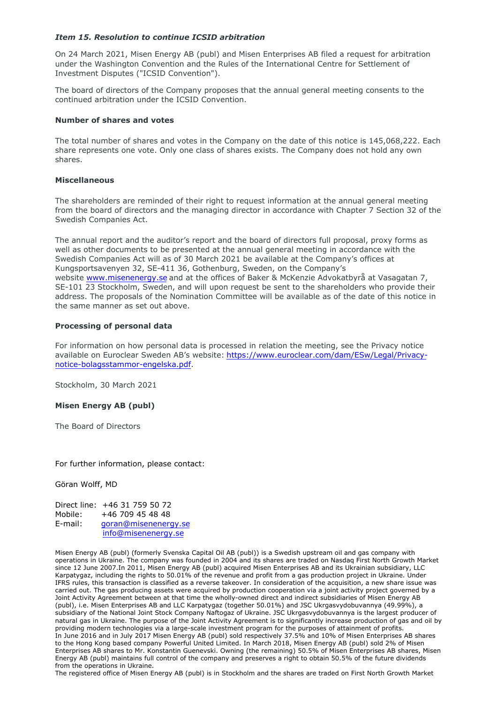## *Item 15. Resolution to continue ICSID arbitration*

On 24 March 2021, Misen Energy AB (publ) and Misen Enterprises AB filed a request for arbitration under the Washington Convention and the Rules of the International Centre for Settlement of Investment Disputes ("ICSID Convention").

The board of directors of the Company proposes that the annual general meeting consents to the continued arbitration under the ICSID Convention.

#### **Number of shares and votes**

The total number of shares and votes in the Company on the date of this notice is 145,068,222. Each share represents one vote. Only one class of shares exists. The Company does not hold any own shares.

#### **Miscellaneous**

The shareholders are reminded of their right to request information at the annual general meeting from the board of directors and the managing director in accordance with Chapter 7 Section 32 of the Swedish Companies Act.

The annual report and the auditor's report and the board of directors full proposal, proxy forms as well as other documents to be presented at the annual general meeting in accordance with the Swedish Companies Act will as of 30 March 2021 be available at the Company's offices at Kungsportsavenyen 32, SE-411 36, Gothenburg, Sweden, on the Company's website [www.misenenergy.se](http://www.misenenergy.se/) and at the offices of Baker & McKenzie Advokatbyrå at Vasagatan 7, SE-101 23 Stockholm, Sweden, and will upon request be sent to the shareholders who provide their address. The proposals of the Nomination Committee will be available as of the date of this notice in the same manner as set out above.

## **Processing of personal data**

For information on how personal data is processed in relation the meeting, see the Privacy notice available on Euroclear Sweden AB's website: [https://www.euroclear.com/dam/ESw/Legal/Privacy](https://www.euroclear.com/dam/ESw/Legal/Privacy-notice-bolagsstammor-engelska.pdf)[notice-bolagsstammor-engelska.pdf.](https://www.euroclear.com/dam/ESw/Legal/Privacy-notice-bolagsstammor-engelska.pdf)

Stockholm, 30 March 2021

## **Misen Energy AB (publ)**

The Board of Directors

For further information, please contact:

Göran Wolff, MD

|         | Direct line: +46 31 759 50 72 |
|---------|-------------------------------|
| Mobile: | +46 709 45 48 48              |
| E-mail: | goran@misenenergy.se          |
|         | info@misenenergy.se           |

Misen Energy AB (publ) (formerly Svenska Capital Oil AB (publ)) is a Swedish upstream oil and gas company with operations in Ukraine. The company was founded in 2004 and its shares are traded on Nasdaq First North Growth Market since 12 June 2007.In 2011, Misen Energy AB (publ) acquired Misen Enterprises AB and its Ukrainian subsidiary, LLC Karpatygaz, including the rights to 50.01% of the revenue and profit from a gas production project in Ukraine. Under IFRS rules, this transaction is classified as a reverse takeover. In consideration of the acquisition, a new share issue was carried out. The gas producing assets were acquired by production cooperation via a joint activity project governed by a Joint Activity Agreement between at that time the wholly-owned direct and indirect subsidiaries of Misen Energy AB (publ), i.e. Misen Enterprises AB and LLC Karpatygaz (together 50.01%) and JSC Ukrgasvydobuvannya (49.99%), a subsidiary of the National Joint Stock Company Naftogaz of Ukraine. JSC Ukrgasvydobuvannya is the largest producer of natural gas in Ukraine. The purpose of the Joint Activity Agreement is to significantly increase production of gas and oil by providing modern technologies via a large-scale investment program for the purposes of attainment of profits. In June 2016 and in July 2017 Misen Energy AB (publ) sold respectively 37.5% and 10% of Misen Enterprises AB shares to the Hong Kong based company Powerful United Limited. In March 2018, Misen Energy AB (publ) sold 2% of Misen Enterprises AB shares to Mr. Konstantin Guenevski. Owning (the remaining) 50.5% of Misen Enterprises AB shares, Misen Energy AB (publ) maintains full control of the company and preserves a right to obtain 50.5% of the future dividends from the operations in Ukraine.

The registered office of Misen Energy AB (publ) is in Stockholm and the shares are traded on First North Growth Market